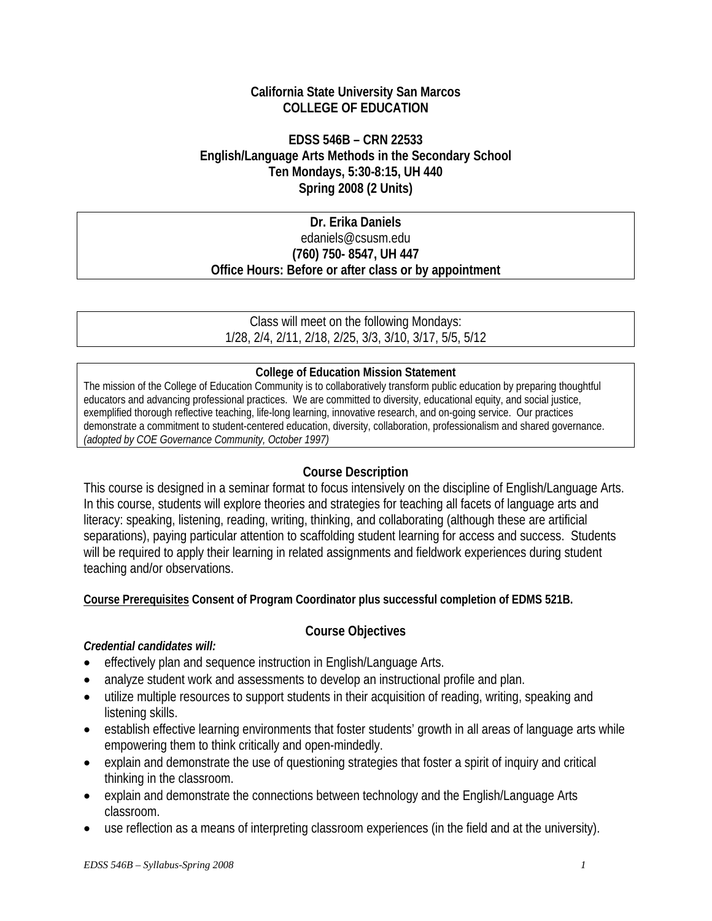# **California State University San Marcos COLLEGE OF EDUCATION**

# **EDSS 546B – CRN 22533 English/Language Arts Methods in the Secondary School Ten Mondays, 5:30-8:15, UH 440 Spring 2008 (2 Units)**

# **Dr. Erika Daniels**  edaniels@csusm.edu **(760) 750- 8547, UH 447 Office Hours: Before or after class or by appointment**

Class will meet on the following Mondays: 1/28, 2/4, 2/11, 2/18, 2/25, 3/3, 3/10, 3/17, 5/5, 5/12

### **College of Education Mission Statement**

The mission of the College of Education Community is to collaboratively transform public education by preparing thoughtful educators and advancing professional practices. We are committed to diversity, educational equity, and social justice, exemplified thorough reflective teaching, life-long learning, innovative research, and on-going service. Our practices demonstrate a commitment to student-centered education, diversity, collaboration, professionalism and shared governance. *(adopted by COE Governance Community, October 1997)* 

# **Course Description**

This course is designed in a seminar format to focus intensively on the discipline of English/Language Arts. In this course, students will explore theories and strategies for teaching all facets of language arts and literacy: speaking, listening, reading, writing, thinking, and collaborating (although these are artificial separations), paying particular attention to scaffolding student learning for access and success. Students will be required to apply their learning in related assignments and fieldwork experiences during student teaching and/or observations.

# **Course Prerequisites Consent of Program Coordinator plus successful completion of EDMS 521B.**

# **Course Objectives**

# *Credential candidates will:*

- effectively plan and sequence instruction in English/Language Arts.
- analyze student work and assessments to develop an instructional profile and plan.
- utilize multiple resources to support students in their acquisition of reading, writing, speaking and listening skills.
- establish effective learning environments that foster students' growth in all areas of language arts while empowering them to think critically and open-mindedly.
- explain and demonstrate the use of questioning strategies that foster a spirit of inquiry and critical thinking in the classroom.
- explain and demonstrate the connections between technology and the English/Language Arts classroom.
- use reflection as a means of interpreting classroom experiences (in the field and at the university).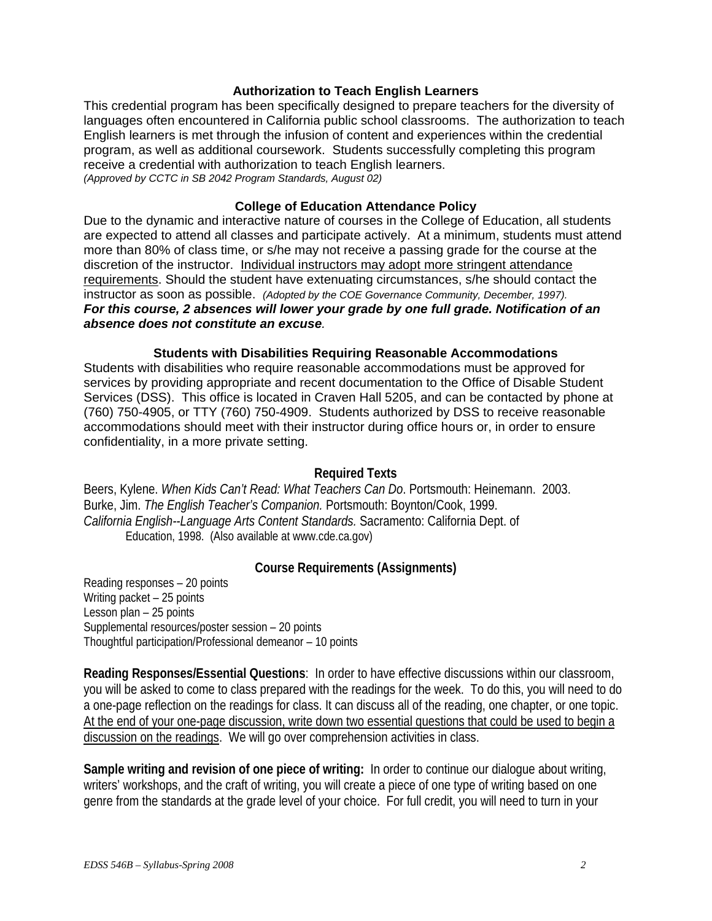#### **Authorization to Teach English Learners**

This credential program has been specifically designed to prepare teachers for the diversity of languages often encountered in California public school classrooms. The authorization to teach English learners is met through the infusion of content and experiences within the credential program, as well as additional coursework. Students successfully completing this program receive a credential with authorization to teach English learners. *(Approved by CCTC in SB 2042 Program Standards, August 02)*

#### **College of Education Attendance Policy**

Due to the dynamic and interactive nature of courses in the College of Education, all students are expected to attend all classes and participate actively. At a minimum, students must attend more than 80% of class time, or s/he may not receive a passing grade for the course at the discretion of the instructor. Individual instructors may adopt more stringent attendance requirements. Should the student have extenuating circumstances, s/he should contact the instructor as soon as possible. *(Adopted by the COE Governance Community, December, 1997). For this course, 2 absences will lower your grade by one full grade. Notification of an absence does not constitute an excuse.* 

#### **Students with Disabilities Requiring Reasonable Accommodations**

Students with disabilities who require reasonable accommodations must be approved for services by providing appropriate and recent documentation to the Office of Disable Student Services (DSS). This office is located in Craven Hall 5205, and can be contacted by phone at (760) 750-4905, or TTY (760) 750-4909. Students authorized by DSS to receive reasonable accommodations should meet with their instructor during office hours or, in order to ensure confidentiality, in a more private setting.

#### **Required Texts**

Beers, Kylene. *When Kids Can't Read: What Teachers Can Do*. Portsmouth: Heinemann. 2003. Burke, Jim. *The English Teacher's Companion.* Portsmouth: Boynton/Cook, 1999. *California English--Language Arts Content Standards.* Sacramento: California Dept. of Education, 1998. (Also available at www.cde.ca.gov)

#### **Course Requirements (Assignments)**

Reading responses – 20 points Writing packet – 25 points Lesson plan – 25 points Supplemental resources/poster session – 20 points Thoughtful participation/Professional demeanor – 10 points

**Reading Responses/Essential Questions**: In order to have effective discussions within our classroom, you will be asked to come to class prepared with the readings for the week. To do this, you will need to do a one-page reflection on the readings for class. It can discuss all of the reading, one chapter, or one topic. At the end of your one-page discussion, write down two essential questions that could be used to begin a discussion on the readings. We will go over comprehension activities in class.

**Sample writing and revision of one piece of writing:** In order to continue our dialogue about writing, writers' workshops, and the craft of writing, you will create a piece of one type of writing based on one genre from the standards at the grade level of your choice. For full credit, you will need to turn in your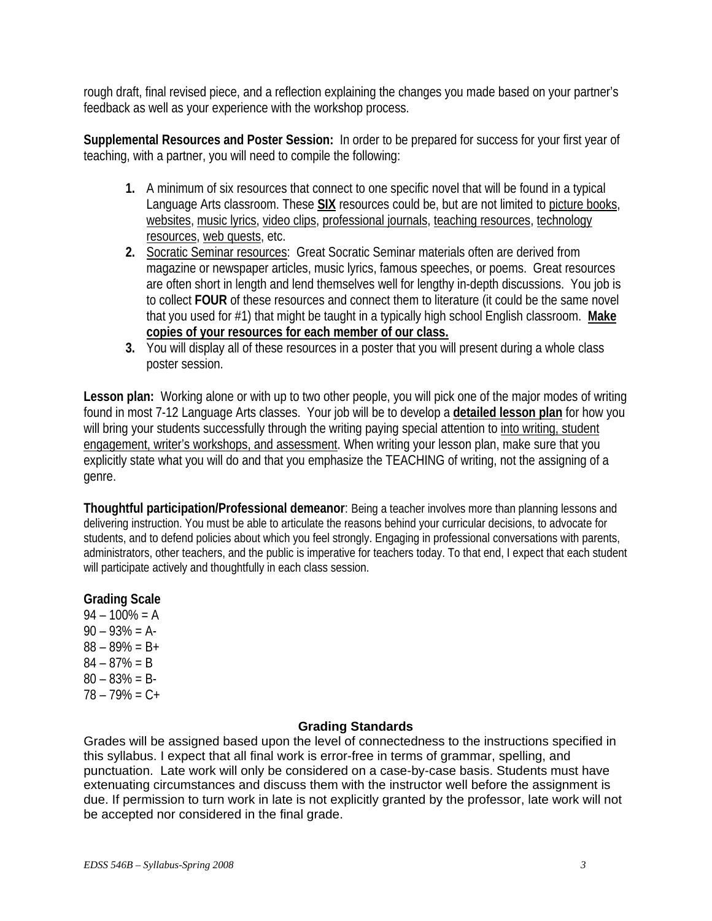rough draft, final revised piece, and a reflection explaining the changes you made based on your partner's feedback as well as your experience with the workshop process.

**Supplemental Resources and Poster Session:** In order to be prepared for success for your first year of teaching, with a partner, you will need to compile the following:

- **1.** A minimum of six resources that connect to one specific novel that will be found in a typical Language Arts classroom. These **SIX** resources could be, but are not limited to picture books, websites, music lyrics, video clips, professional journals, teaching resources, technology resources, web quests, etc.
- **2.** Socratic Seminar resources: Great Socratic Seminar materials often are derived from magazine or newspaper articles, music lyrics, famous speeches, or poems. Great resources are often short in length and lend themselves well for lengthy in-depth discussions. You job is to collect **FOUR** of these resources and connect them to literature (it could be the same novel that you used for #1) that might be taught in a typically high school English classroom. **Make copies of your resources for each member of our class.**
- **3.** You will display all of these resources in a poster that you will present during a whole class poster session.

**Lesson plan:** Working alone or with up to two other people, you will pick one of the major modes of writing found in most 7-12 Language Arts classes. Your job will be to develop a **detailed lesson plan** for how you will bring your students successfully through the writing paying special attention to into writing, student engagement, writer's workshops, and assessment. When writing your lesson plan, make sure that you explicitly state what you will do and that you emphasize the TEACHING of writing, not the assigning of a genre.

**Thoughtful participation/Professional demeanor**: Being a teacher involves more than planning lessons and delivering instruction. You must be able to articulate the reasons behind your curricular decisions, to advocate for students, and to defend policies about which you feel strongly. Engaging in professional conversations with parents, administrators, other teachers, and the public is imperative for teachers today. To that end, I expect that each student will participate actively and thoughtfully in each class session.

# **Grading Scale**

 $94 - 100\% = A$  $90 - 93\% = A$  $88 - 89\% = B +$  $84 - 87\% = B$  $80 - 83\% = B$ 78 – 79% = C+

#### **Grading Standards**

Grades will be assigned based upon the level of connectedness to the instructions specified in this syllabus. I expect that all final work is error-free in terms of grammar, spelling, and punctuation. Late work will only be considered on a case-by-case basis. Students must have extenuating circumstances and discuss them with the instructor well before the assignment is due. If permission to turn work in late is not explicitly granted by the professor, late work will not be accepted nor considered in the final grade.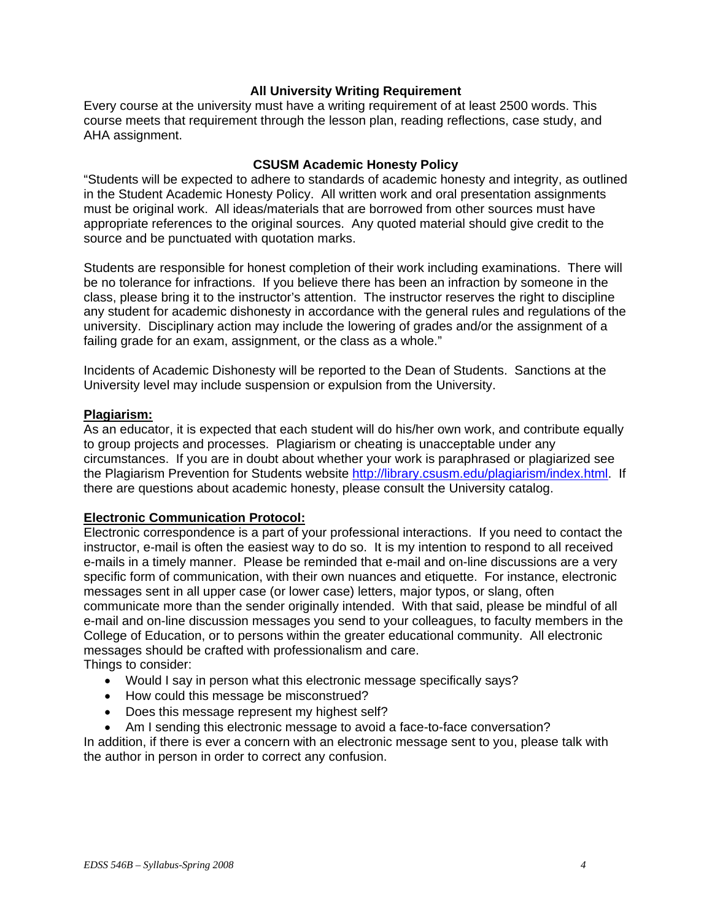#### **All University Writing Requirement**

Every course at the university must have a writing requirement of at least 2500 words. This course meets that requirement through the lesson plan, reading reflections, case study, and AHA assignment.

#### **CSUSM Academic Honesty Policy**

"Students will be expected to adhere to standards of academic honesty and integrity, as outlined in the Student Academic Honesty Policy. All written work and oral presentation assignments must be original work. All ideas/materials that are borrowed from other sources must have appropriate references to the original sources. Any quoted material should give credit to the source and be punctuated with quotation marks.

Students are responsible for honest completion of their work including examinations. There will be no tolerance for infractions. If you believe there has been an infraction by someone in the class, please bring it to the instructor's attention. The instructor reserves the right to discipline any student for academic dishonesty in accordance with the general rules and regulations of the university. Disciplinary action may include the lowering of grades and/or the assignment of a failing grade for an exam, assignment, or the class as a whole."

Incidents of Academic Dishonesty will be reported to the Dean of Students. Sanctions at the University level may include suspension or expulsion from the University.

#### **Plagiarism:**

As an educator, it is expected that each student will do his/her own work, and contribute equally to group projects and processes. Plagiarism or cheating is unacceptable under any circumstances. If you are in doubt about whether your work is paraphrased or plagiarized see the Plagiarism Prevention for Students website http://library.csusm.edu/plagiarism/index.html. If there are questions about academic honesty, please consult the University catalog.

#### **Electronic Communication Protocol:**

Electronic correspondence is a part of your professional interactions. If you need to contact the instructor, e-mail is often the easiest way to do so. It is my intention to respond to all received e-mails in a timely manner. Please be reminded that e-mail and on-line discussions are a very specific form of communication, with their own nuances and etiquette. For instance, electronic messages sent in all upper case (or lower case) letters, major typos, or slang, often communicate more than the sender originally intended. With that said, please be mindful of all e-mail and on-line discussion messages you send to your colleagues, to faculty members in the College of Education, or to persons within the greater educational community. All electronic messages should be crafted with professionalism and care. Things to consider:

- Would I say in person what this electronic message specifically says?
- How could this message be misconstrued?
- Does this message represent my highest self?
- Am I sending this electronic message to avoid a face-to-face conversation?

In addition, if there is ever a concern with an electronic message sent to you, please talk with the author in person in order to correct any confusion.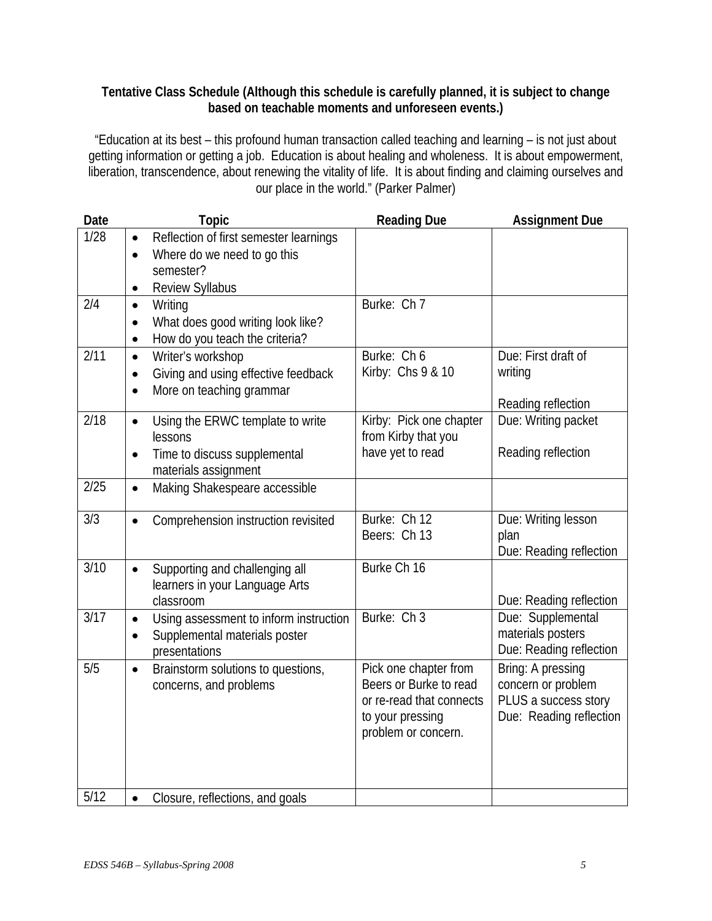# **Tentative Class Schedule (Although this schedule is carefully planned, it is subject to change based on teachable moments and unforeseen events.)**

"Education at its best – this profound human transaction called teaching and learning – is not just about getting information or getting a job. Education is about healing and wholeness. It is about empowerment, liberation, transcendence, about renewing the vitality of life. It is about finding and claiming ourselves and our place in the world." (Parker Palmer)

| Date | <b>Topic</b>                                                                                  | <b>Reading Due</b>       | <b>Assignment Due</b>   |
|------|-----------------------------------------------------------------------------------------------|--------------------------|-------------------------|
| 1/28 | Reflection of first semester learnings<br>$\bullet$                                           |                          |                         |
|      | Where do we need to go this<br>$\bullet$                                                      |                          |                         |
|      | semester?                                                                                     |                          |                         |
|      | Review Syllabus<br>$\bullet$                                                                  | Burke: Ch 7              |                         |
| 2/4  | Writing<br>$\bullet$                                                                          |                          |                         |
|      | What does good writing look like?<br>$\bullet$<br>How do you teach the criteria?<br>$\bullet$ |                          |                         |
| 2/11 | Writer's workshop<br>$\bullet$                                                                | Burke: Ch 6              | Due: First draft of     |
|      | Giving and using effective feedback<br>$\bullet$                                              | Kirby: Chs 9 & 10        | writing                 |
|      | More on teaching grammar<br>$\bullet$                                                         |                          |                         |
|      |                                                                                               |                          | Reading reflection      |
| 2/18 | Using the ERWC template to write<br>$\bullet$                                                 | Kirby: Pick one chapter  | Due: Writing packet     |
|      | lessons                                                                                       | from Kirby that you      |                         |
|      | Time to discuss supplemental<br>$\bullet$                                                     | have yet to read         | Reading reflection      |
| 2/25 | materials assignment<br>Making Shakespeare accessible<br>$\bullet$                            |                          |                         |
|      |                                                                                               |                          |                         |
| 3/3  | Comprehension instruction revisited<br>$\bullet$                                              | Burke: Ch 12             | Due: Writing lesson     |
|      |                                                                                               | Beers: Ch 13             | plan                    |
|      |                                                                                               |                          | Due: Reading reflection |
| 3/10 | Supporting and challenging all<br>$\bullet$                                                   | Burke Ch 16              |                         |
|      | learners in your Language Arts<br>classroom                                                   |                          | Due: Reading reflection |
| 3/17 | Using assessment to inform instruction<br>$\bullet$                                           | Burke: Ch 3              | Due: Supplemental       |
|      | Supplemental materials poster<br>$\bullet$                                                    |                          | materials posters       |
|      | presentations                                                                                 |                          | Due: Reading reflection |
| 5/5  | Brainstorm solutions to questions,<br>$\bullet$                                               | Pick one chapter from    | Bring: A pressing       |
|      | concerns, and problems                                                                        | Beers or Burke to read   | concern or problem      |
|      |                                                                                               | or re-read that connects | PLUS a success story    |
|      |                                                                                               | to your pressing         | Due: Reading reflection |
|      |                                                                                               | problem or concern.      |                         |
|      |                                                                                               |                          |                         |
|      |                                                                                               |                          |                         |
| 5/12 | Closure, reflections, and goals<br>$\bullet$                                                  |                          |                         |